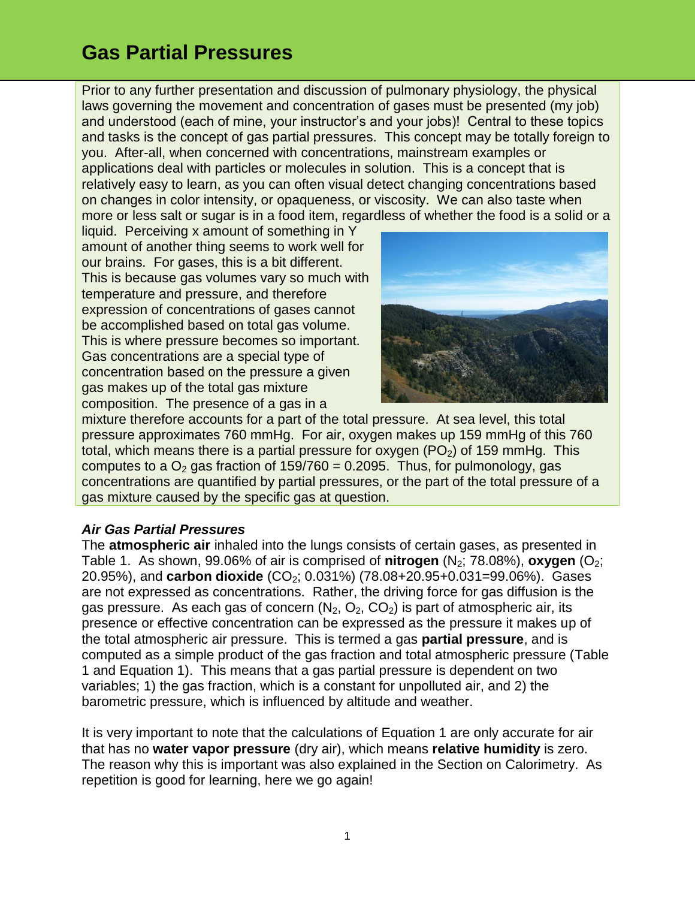Prior to any further presentation and discussion of pulmonary physiology, the physical laws governing the movement and concentration of gases must be presented (my job) and understood (each of mine, your instructor's and your jobs)! Central to these topics and tasks is the concept of gas partial pressures. This concept may be totally foreign to you. After-all, when concerned with concentrations, mainstream examples or applications deal with particles or molecules in solution. This is a concept that is relatively easy to learn, as you can often visual detect changing concentrations based on changes in color intensity, or opaqueness, or viscosity. We can also taste when more or less salt or sugar is in a food item, regardless of whether the food is a solid or a

liquid. Perceiving x amount of something in Y amount of another thing seems to work well for our brains. For gases, this is a bit different. This is because gas volumes vary so much with temperature and pressure, and therefore expression of concentrations of gases cannot be accomplished based on total gas volume. This is where pressure becomes so important. Gas concentrations are a special type of concentration based on the pressure a given gas makes up of the total gas mixture composition. The presence of a gas in a



mixture therefore accounts for a part of the total pressure. At sea level, this total pressure approximates 760 mmHg. For air, oxygen makes up 159 mmHg of this 760 total, which means there is a partial pressure for oxygen  $(PO<sub>2</sub>)$  of 159 mmHg. This computes to a  $O<sub>2</sub>$  gas fraction of 159/760 = 0.2095. Thus, for pulmonology, gas concentrations are quantified by partial pressures, or the part of the total pressure of a gas mixture caused by the specific gas at question.

#### *Air Gas Partial Pressures*

The **atmospheric air** inhaled into the lungs consists of certain gases, as presented in Table 1. As shown, 99.06% of air is comprised of **nitrogen**  $(N_2; 78.08%)$ , **oxygen**  $(O_2;$ 20.95%), and **carbon dioxide** (CO<sub>2</sub>; 0.031%) (78.08+20.95+0.031=99.06%). Gases are not expressed as concentrations. Rather, the driving force for gas diffusion is the gas pressure. As each gas of concern  $(N_2, O_2, CO_2)$  is part of atmospheric air, its presence or effective concentration can be expressed as the pressure it makes up of the total atmospheric air pressure. This is termed a gas **partial pressure**, and is computed as a simple product of the gas fraction and total atmospheric pressure (Table 1 and Equation 1). This means that a gas partial pressure is dependent on two variables; 1) the gas fraction, which is a constant for unpolluted air, and 2) the barometric pressure, which is influenced by altitude and weather.

It is very important to note that the calculations of Equation 1 are only accurate for air that has no **water vapor pressure** (dry air), which means **relative humidity** is zero. The reason why this is important was also explained in the Section on Calorimetry. As repetition is good for learning, here we go again!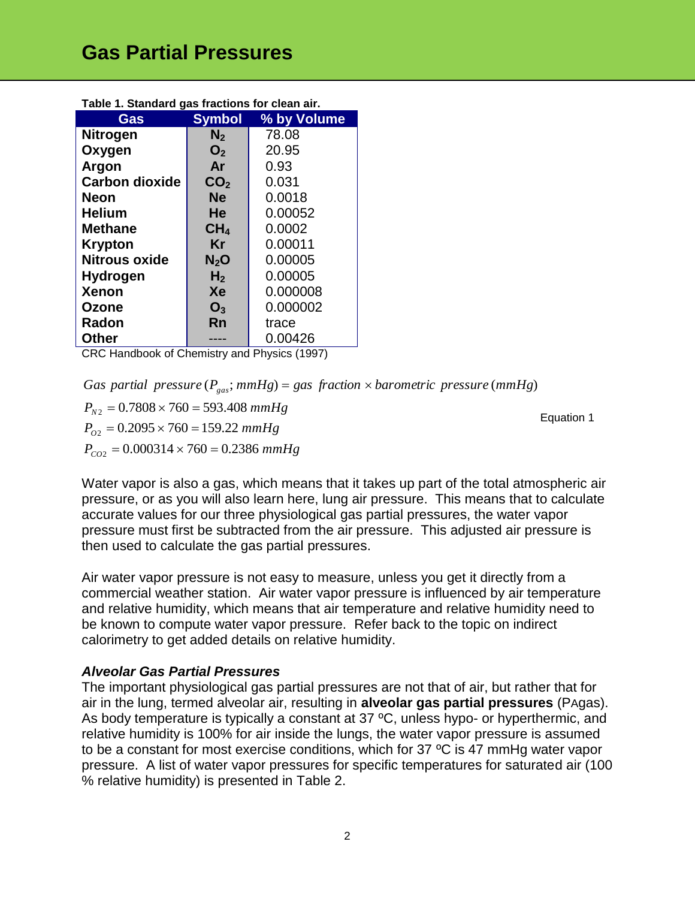| rable 1. Jianuaru yas hacilons for clean an.                                |                 |             |  |  |  |
|-----------------------------------------------------------------------------|-----------------|-------------|--|--|--|
| Gas                                                                         | <b>Symbol</b>   | % by Volume |  |  |  |
| <b>Nitrogen</b>                                                             | N <sub>2</sub>  | 78.08       |  |  |  |
| Oxygen                                                                      | O <sub>2</sub>  | 20.95       |  |  |  |
| Argon                                                                       | Ar              | 0.93        |  |  |  |
| <b>Carbon dioxide</b>                                                       | CO <sub>2</sub> | 0.031       |  |  |  |
| <b>Neon</b>                                                                 | <b>Ne</b>       | 0.0018      |  |  |  |
| <b>Helium</b>                                                               | He              | 0.00052     |  |  |  |
| <b>Methane</b>                                                              | CH <sub>4</sub> | 0.0002      |  |  |  |
| <b>Krypton</b>                                                              | Kr              | 0.00011     |  |  |  |
| <b>Nitrous oxide</b>                                                        | $N_2O$          | 0.00005     |  |  |  |
| <b>Hydrogen</b>                                                             | H <sub>2</sub>  | 0.00005     |  |  |  |
| <b>Xenon</b>                                                                | Xe              | 0.000008    |  |  |  |
| Ozone                                                                       | $O_3$           | 0.000002    |  |  |  |
| Radon                                                                       | Rn              | trace       |  |  |  |
| <b>Other</b>                                                                |                 | 0.00426     |  |  |  |
| $-1 - 1$<br>$\bigcap_{n=1}^{\infty}$ is the set of $\bigcup_{n=1}^{\infty}$ | دار منظمات      | 1.711.4007  |  |  |  |

**Table 1. Standard gas fractions for clean air.**

CRC Handbook of Chemistry and Physics (1997)

*Gas partial pressure*  $(P_{gas}; mmHg) = gas$  *fraction*  $\times$  *barometric pressure* (*mmHg*)

 $P_{CO2} = 0.000314 \times 760 = 0.2386 \ mmHg$  $P_{O2} = 0.2095 \times 760 = 159.22 \ mmHg$ <br>  $P_{CO2} = 0.000314 \times 760 = 0.2386 \ mm$  $P_{N2} = 0.7808 \times 760 = 593.408 \ mmHg$  $P_{02} = 0.2095 \times 760 = 159.22$ 

Water vapor is also a gas, which means that it takes up part of the total atmospheric air pressure, or as you will also learn here, lung air pressure. This means that to calculate accurate values for our three physiological gas partial pressures, the water vapor pressure must first be subtracted from the air pressure. This adjusted air pressure is then used to calculate the gas partial pressures.

Air water vapor pressure is not easy to measure, unless you get it directly from a commercial weather station. Air water vapor pressure is influenced by air temperature and relative humidity, which means that air temperature and relative humidity need to be known to compute water vapor pressure. Refer back to the topic on indirect calorimetry to get added details on relative humidity.

#### *Alveolar Gas Partial Pressures*

The important physiological gas partial pressures are not that of air, but rather that for air in the lung, termed alveolar air, resulting in **alveolar gas partial pressures** (PAgas). As body temperature is typically a constant at 37 °C, unless hypo- or hyperthermic, and relative humidity is 100% for air inside the lungs, the water vapor pressure is assumed to be a constant for most exercise conditions, which for 37 ºC is 47 mmHg water vapor pressure. A list of water vapor pressures for specific temperatures for saturated air (100 % relative humidity) is presented in Table 2.

Equation 1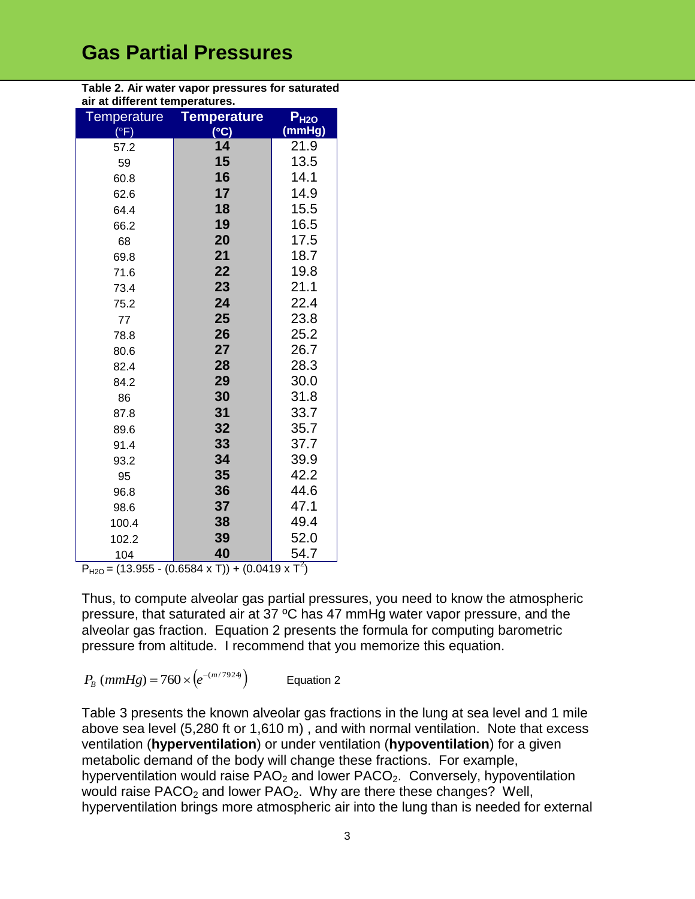| <b>Temperature</b>     | <b>Temperature</b> | P <sub>H2O</sub> |
|------------------------|--------------------|------------------|
| $(\overline{\circ F})$ | $(^{\circ}C)$      | (mmHg)           |
| 57.2                   | 14                 | 21.9             |
| 59                     | 15                 | 13.5             |
| 60.8                   | 16                 | 14.1             |
| 62.6                   | 17                 | 14.9             |
| 64.4                   | 18                 | 15.5             |
| 66.2                   | 19                 | 16.5             |
| 68                     | 20                 | 17.5             |
| 69.8                   | 21                 | 18.7             |
| 71.6                   | 22                 | 19.8             |
| 73.4                   | 23                 | 21.1             |
| 75.2                   | 24                 | 22.4             |
| 77                     | 25                 | 23.8             |
| 78.8                   | 26                 | 25.2             |
| 80.6                   | 27                 | 26.7             |
| 82.4                   | 28                 | 28.3             |
| 84.2                   | 29                 | 30.0             |
| 86                     | 30                 | 31.8             |
| 87.8                   | 31                 | 33.7             |
| 89.6                   | 32                 | 35.7             |
| 91.4                   | 33                 | 37.7             |
| 93.2                   | 34                 | 39.9             |
| 95                     | 35                 | 42.2             |
| 96.8                   | 36                 | 44.6             |
| 98.6                   | 37                 | 47.1             |
| 100.4                  | 38                 | 49.4             |
| 102.2                  | 39                 | 52.0             |
| 104                    | 40                 | 54.7             |

**Table 2. Air water vapor pressures for saturated air at different temperatures.**

 $P_{H2O}$  = (13.955 - (0.6584 x T)) + (0.0419 x T<sup>2</sup>)

Thus, to compute alveolar gas partial pressures, you need to know the atmospheric pressure, that saturated air at 37 ºC has 47 mmHg water vapor pressure, and the alveolar gas fraction. Equation 2 presents the formula for computing barometric pressure from altitude. I recommend that you memorize this equation.

$$
P_B \left( mmHg \right) = 760 \times \left( e^{-(m/7924)} \right) \qquad \text{Equation 2}
$$

Table 3 presents the known alveolar gas fractions in the lung at sea level and 1 mile above sea level (5,280 ft or 1,610 m) , and with normal ventilation. Note that excess ventilation (**hyperventilation**) or under ventilation (**hypoventilation**) for a given metabolic demand of the body will change these fractions. For example, hyperventilation would raise  $PAO<sub>2</sub>$  and lower  $PACO<sub>2</sub>$ . Conversely, hypoventilation would raise  $PACO<sub>2</sub>$  and lower  $PAO<sub>2</sub>$ . Why are there these changes? Well, hyperventilation brings more atmospheric air into the lung than is needed for external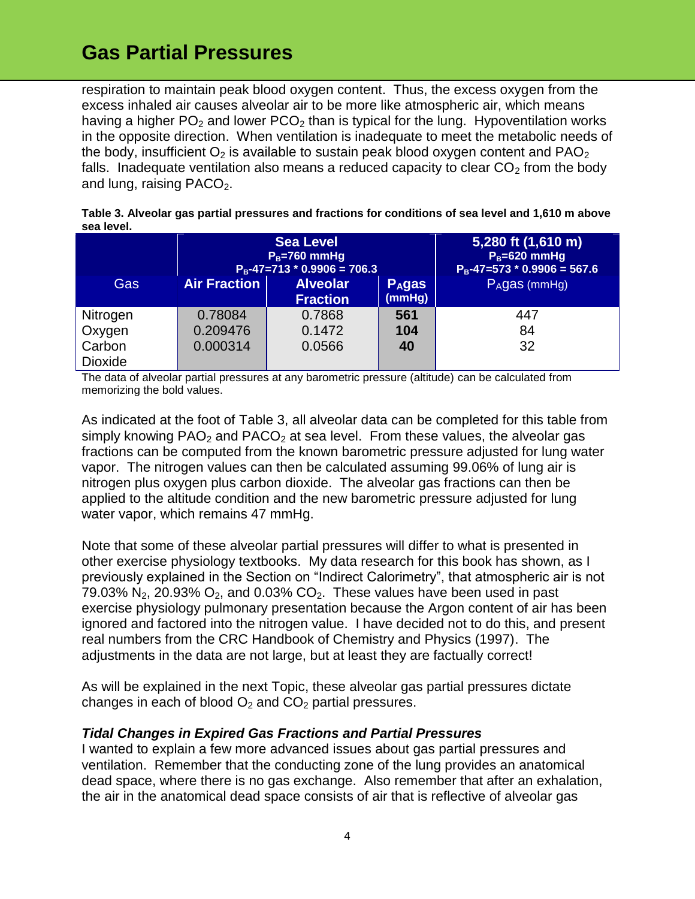respiration to maintain peak blood oxygen content. Thus, the excess oxygen from the excess inhaled air causes alveolar air to be more like atmospheric air, which means having a higher  $PO_2$  and lower  $PCO_2$  than is typical for the lung. Hypoventilation works in the opposite direction. When ventilation is inadequate to meet the metabolic needs of the body, insufficient  $O_2$  is available to sustain peak blood oxygen content and PAO<sub>2</sub> falls. Inadequate ventilation also means a reduced capacity to clear  $CO<sub>2</sub>$  from the body and lung, raising  $PACO<sub>2</sub>$ .

| SGA IGVGI.     |                                                                       |                                    |                                   |                                                                         |  |  |  |
|----------------|-----------------------------------------------------------------------|------------------------------------|-----------------------------------|-------------------------------------------------------------------------|--|--|--|
|                | <b>Sea Level</b><br>$P_B = 760$ mmHg<br>$P_B-47=713 * 0.9906 = 706.3$ |                                    |                                   | 5,280 ft (1,610 m)<br>$P_B = 620$ mmHg<br>$P_B-47=573 * 0.9906 = 567.6$ |  |  |  |
| Gas            | <b>Air Fraction</b>                                                   | <b>Alveolar</b><br><b>Fraction</b> | <b>P<sub>A</sub>gas</b><br>(mmHg) | $PAgas$ (mmHg)                                                          |  |  |  |
| Nitrogen       | 0.78084                                                               | 0.7868                             | 561                               | 447                                                                     |  |  |  |
| Oxygen         | 0.209476                                                              | 0.1472                             | 104                               | 84                                                                      |  |  |  |
| Carbon         | 0.000314                                                              | 0.0566                             | 40                                | 32                                                                      |  |  |  |
| <b>Dioxide</b> |                                                                       |                                    |                                   |                                                                         |  |  |  |

**Table 3. Alveolar gas partial pressures and fractions for conditions of sea level and 1,610 m above sea level.**

The data of alveolar partial pressures at any barometric pressure (altitude) can be calculated from memorizing the bold values.

As indicated at the foot of Table 3, all alveolar data can be completed for this table from simply knowing  $PAO<sub>2</sub>$  and  $PACO<sub>2</sub>$  at sea level. From these values, the alveolar gas fractions can be computed from the known barometric pressure adjusted for lung water vapor. The nitrogen values can then be calculated assuming 99.06% of lung air is nitrogen plus oxygen plus carbon dioxide. The alveolar gas fractions can then be applied to the altitude condition and the new barometric pressure adjusted for lung water vapor, which remains 47 mmHg.

Note that some of these alveolar partial pressures will differ to what is presented in other exercise physiology textbooks. My data research for this book has shown, as I previously explained in the Section on "Indirect Calorimetry", that atmospheric air is not 79.03%  $N_2$ , 20.93%  $O_2$ , and 0.03%  $CO_2$ . These values have been used in past exercise physiology pulmonary presentation because the Argon content of air has been ignored and factored into the nitrogen value. I have decided not to do this, and present real numbers from the CRC Handbook of Chemistry and Physics (1997). The adjustments in the data are not large, but at least they are factually correct!

As will be explained in the next Topic, these alveolar gas partial pressures dictate changes in each of blood  $O_2$  and  $CO_2$  partial pressures.

#### *Tidal Changes in Expired Gas Fractions and Partial Pressures*

I wanted to explain a few more advanced issues about gas partial pressures and ventilation. Remember that the conducting zone of the lung provides an anatomical dead space, where there is no gas exchange. Also remember that after an exhalation, the air in the anatomical dead space consists of air that is reflective of alveolar gas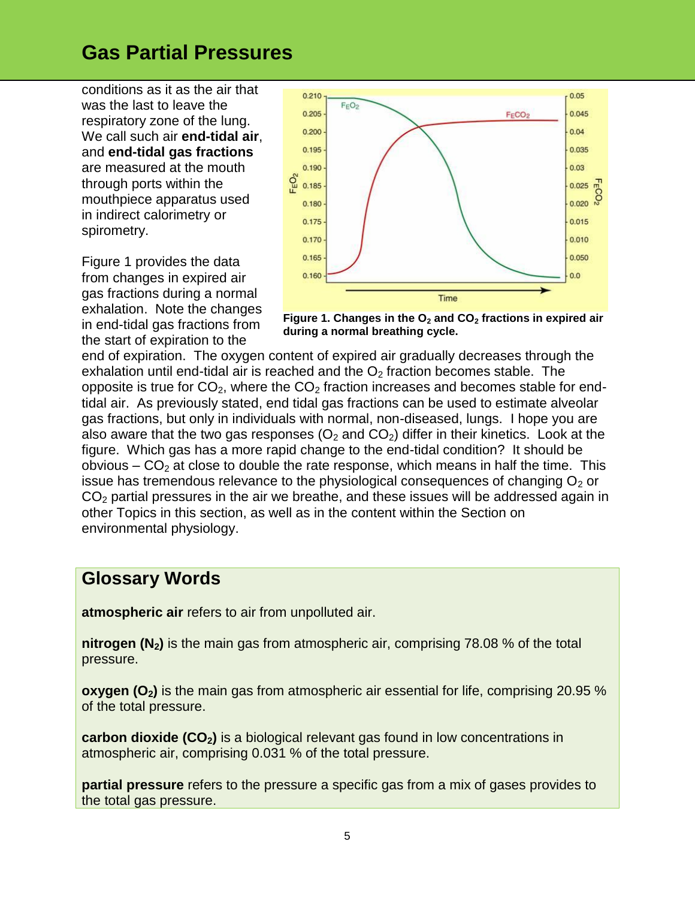conditions as it as the air that was the last to leave the respiratory zone of the lung. We call such air **end-tidal air**, and **end-tidal gas fractions** are measured at the mouth through ports within the mouthpiece apparatus used in indirect calorimetry or spirometry.

Figure 1 provides the data from changes in expired air gas fractions during a normal exhalation. Note the changes in end-tidal gas fractions from the start of expiration to the



**Figure 1. Changes in the O<sup>2</sup> and CO<sup>2</sup> fractions in expired air during a normal breathing cycle.**

end of expiration. The oxygen content of expired air gradually decreases through the exhalation until end-tidal air is reached and the  $O<sub>2</sub>$  fraction becomes stable. The opposite is true for  $CO<sub>2</sub>$ , where the  $CO<sub>2</sub>$  fraction increases and becomes stable for endtidal air. As previously stated, end tidal gas fractions can be used to estimate alveolar gas fractions, but only in individuals with normal, non-diseased, lungs. I hope you are also aware that the two gas responses  $(O_2 \text{ and } CO_2)$  differ in their kinetics. Look at the figure. Which gas has a more rapid change to the end-tidal condition? It should be obvious –  $CO<sub>2</sub>$  at close to double the rate response, which means in half the time. This issue has tremendous relevance to the physiological consequences of changing  $O<sub>2</sub>$  or  $CO<sub>2</sub>$  partial pressures in the air we breathe, and these issues will be addressed again in other Topics in this section, as well as in the content within the Section on environmental physiology.

#### **Glossary Words**

**atmospheric air** refers to air from unpolluted air.

**nitrogen (N2)** is the main gas from atmospheric air, comprising 78.08 % of the total pressure.

**oxygen (O2)** is the main gas from atmospheric air essential for life, comprising 20.95 % of the total pressure.

**carbon dioxide (CO2)** is a biological relevant gas found in low concentrations in atmospheric air, comprising 0.031 % of the total pressure.

**partial pressure** refers to the pressure a specific gas from a mix of gases provides to the total gas pressure.